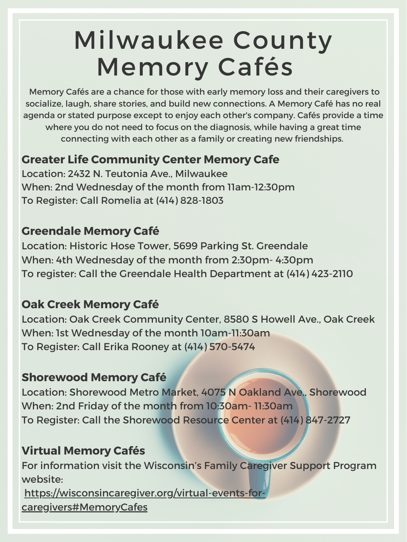# Milwaukee County Memory Cafés

### **Greater Life Community Center Memory Cafe**

Location: 2432 N. Teutonia Ave., Milwaukee When: 2nd Wednesday of the month from 11am-12:30pm To Register: Call Romelia at (414) 828-1803

### **Greendale Memory Café**

Location: Historic Hose Tower, 5699 Parking St. Greendale When: 4th Wednesday of the month from 2:30pm- 4:30pm To register: Call the Greendale Health Department at (414) 423-2110

## **Oak Creek Memory Café**

Location: Oak Creek Community Center, 8580 S Howell Ave., Oak Creek When: 1st Wednesday of the month 10am-11:30am To Register: Call Erika Rooney at (414) 570-5474

#### **Shorewood Memory Café**

Location: Shorewood Metro Market, 4075 N Oakland Ave., Shorewood When: 2nd Friday of the month from 10:30am- 11:30am To Register: Call the Shorewood Resource Center at (414) 847-2727

### **Virtual Memory Cafés**

For information visit the Wisconsin's Family Caregiver Support Program website:

[https://wisconsincaregiver.org/virtual-events-for](https://wisconsincaregiver.org/virtual-events-for-caregivers#MemoryCafes)[caregivers#MemoryCafes](https://wisconsincaregiver.org/virtual-events-for-caregivers#MemoryCafes)

Memory Cafés are a chance for those with early memory loss and their caregivers to socialize, laugh, share stories, and build new connections. A Memory Café has no real agenda or stated purpose except to enjoy each other's company. Cafés provide a time where you do not need to focus on the diagnosis, while having a great time connecting with each other as a family or creating new friendships.